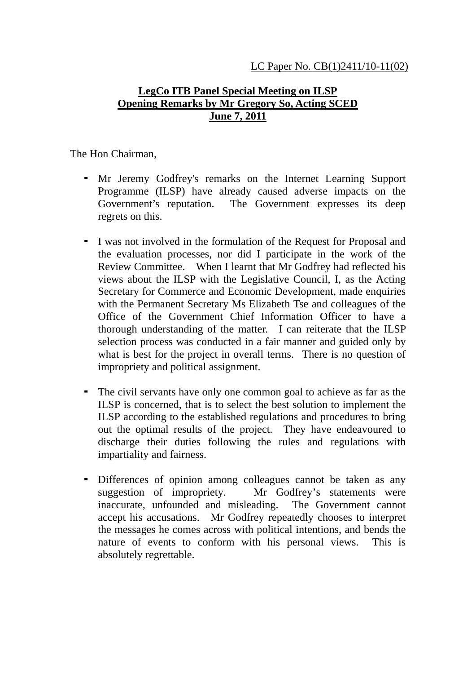## **LegCo ITB Panel Special Meeting on ILSP Opening Remarks by Mr Gregory So, Acting SCED June 7, 2011**

The Hon Chairman,

- Mr Jeremy Godfrey's remarks on the Internet Learning Support Programme (ILSP) have already caused adverse impacts on the Government's reputation. The Government expresses its deep regrets on this.
- I was not involved in the formulation of the Request for Proposal and the evaluation processes, nor did I participate in the work of the Review Committee. When I learnt that Mr Godfrey had reflected his views about the ILSP with the Legislative Council, I, as the Acting Secretary for Commerce and Economic Development, made enquiries with the Permanent Secretary Ms Elizabeth Tse and colleagues of the Office of the Government Chief Information Officer to have a thorough understanding of the matter. I can reiterate that the ILSP selection process was conducted in a fair manner and guided only by what is best for the project in overall terms. There is no question of impropriety and political assignment.
- The civil servants have only one common goal to achieve as far as the ILSP is concerned, that is to select the best solution to implement the ILSP according to the established regulations and procedures to bring out the optimal results of the project. They have endeavoured to discharge their duties following the rules and regulations with impartiality and fairness.
- Differences of opinion among colleagues cannot be taken as any suggestion of impropriety. Mr Godfrey's statements were inaccurate, unfounded and misleading. The Government cannot accept his accusations. Mr Godfrey repeatedly chooses to interpret the messages he comes across with political intentions, and bends the nature of events to conform with his personal views. This is absolutely regrettable.